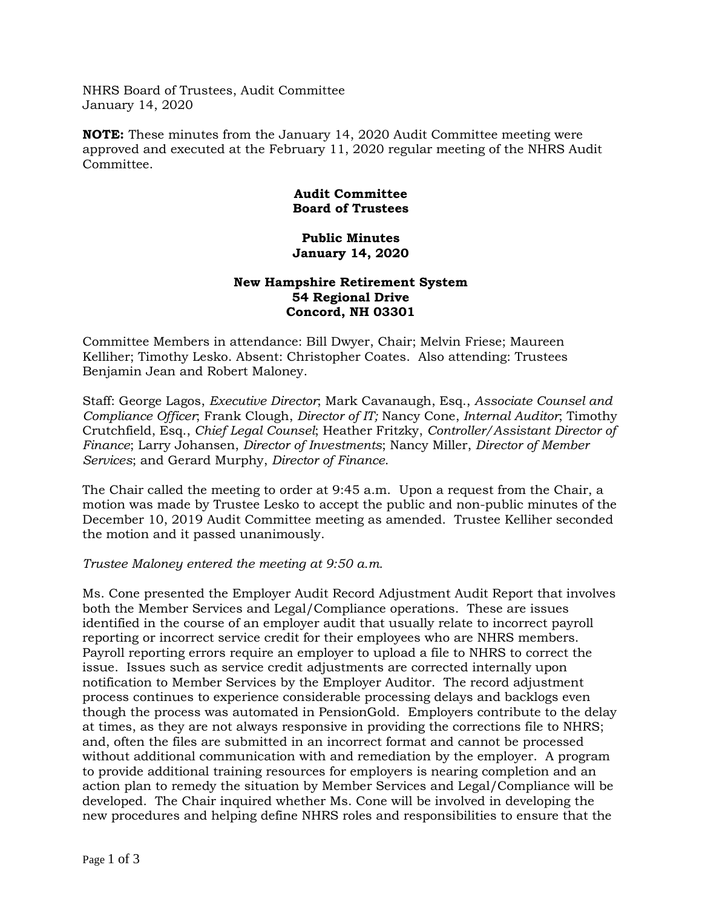NHRS Board of Trustees, Audit Committee January 14, 2020

**NOTE:** These minutes from the January 14, 2020 Audit Committee meeting were approved and executed at the February 11, 2020 regular meeting of the NHRS Audit Committee.

# **Audit Committee Board of Trustees**

#### **Public Minutes January 14, 2020**

## **New Hampshire Retirement System 54 Regional Drive Concord, NH 03301**

Committee Members in attendance: Bill Dwyer, Chair; Melvin Friese; Maureen Kelliher; Timothy Lesko. Absent: Christopher Coates. Also attending: Trustees Benjamin Jean and Robert Maloney.

Staff: George Lagos, *Executive Director*; Mark Cavanaugh, Esq., *Associate Counsel and Compliance Officer*; Frank Clough, *Director of IT;* Nancy Cone, *Internal Auditor*; Timothy Crutchfield, Esq., *Chief Legal Counsel*; Heather Fritzky, *Controller/Assistant Director of Finance*; Larry Johansen, *Director of Investments*; Nancy Miller, *Director of Member Services*; and Gerard Murphy, *Director of Finance*.

The Chair called the meeting to order at 9:45 a.m. Upon a request from the Chair, a motion was made by Trustee Lesko to accept the public and non-public minutes of the December 10, 2019 Audit Committee meeting as amended. Trustee Kelliher seconded the motion and it passed unanimously.

## *Trustee Maloney entered the meeting at 9:50 a.m.*

Ms. Cone presented the Employer Audit Record Adjustment Audit Report that involves both the Member Services and Legal/Compliance operations. These are issues identified in the course of an employer audit that usually relate to incorrect payroll reporting or incorrect service credit for their employees who are NHRS members. Payroll reporting errors require an employer to upload a file to NHRS to correct the issue. Issues such as service credit adjustments are corrected internally upon notification to Member Services by the Employer Auditor. The record adjustment process continues to experience considerable processing delays and backlogs even though the process was automated in PensionGold. Employers contribute to the delay at times, as they are not always responsive in providing the corrections file to NHRS; and, often the files are submitted in an incorrect format and cannot be processed without additional communication with and remediation by the employer. A program to provide additional training resources for employers is nearing completion and an action plan to remedy the situation by Member Services and Legal/Compliance will be developed. The Chair inquired whether Ms. Cone will be involved in developing the new procedures and helping define NHRS roles and responsibilities to ensure that the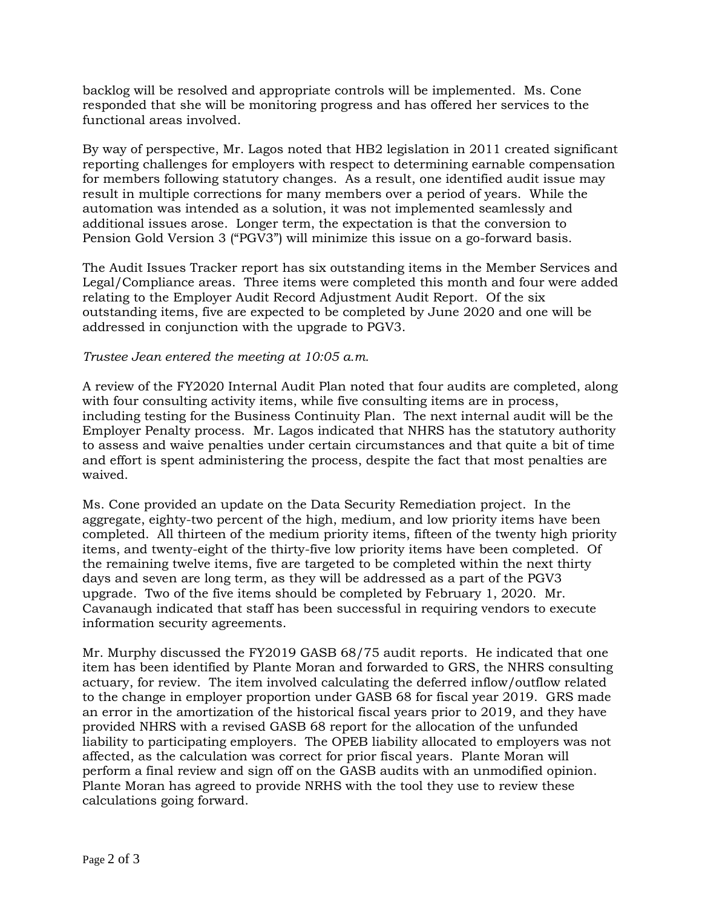backlog will be resolved and appropriate controls will be implemented. Ms. Cone responded that she will be monitoring progress and has offered her services to the functional areas involved.

By way of perspective, Mr. Lagos noted that HB2 legislation in 2011 created significant reporting challenges for employers with respect to determining earnable compensation for members following statutory changes. As a result, one identified audit issue may result in multiple corrections for many members over a period of years. While the automation was intended as a solution, it was not implemented seamlessly and additional issues arose. Longer term, the expectation is that the conversion to Pension Gold Version 3 ("PGV3") will minimize this issue on a go-forward basis.

The Audit Issues Tracker report has six outstanding items in the Member Services and Legal/Compliance areas. Three items were completed this month and four were added relating to the Employer Audit Record Adjustment Audit Report. Of the six outstanding items, five are expected to be completed by June 2020 and one will be addressed in conjunction with the upgrade to PGV3.

## *Trustee Jean entered the meeting at 10:05 a.m.*

A review of the FY2020 Internal Audit Plan noted that four audits are completed, along with four consulting activity items, while five consulting items are in process, including testing for the Business Continuity Plan. The next internal audit will be the Employer Penalty process. Mr. Lagos indicated that NHRS has the statutory authority to assess and waive penalties under certain circumstances and that quite a bit of time and effort is spent administering the process, despite the fact that most penalties are waived.

Ms. Cone provided an update on the Data Security Remediation project. In the aggregate, eighty-two percent of the high, medium, and low priority items have been completed. All thirteen of the medium priority items, fifteen of the twenty high priority items, and twenty-eight of the thirty-five low priority items have been completed. Of the remaining twelve items, five are targeted to be completed within the next thirty days and seven are long term, as they will be addressed as a part of the PGV3 upgrade. Two of the five items should be completed by February 1, 2020. Mr. Cavanaugh indicated that staff has been successful in requiring vendors to execute information security agreements.

Mr. Murphy discussed the FY2019 GASB 68/75 audit reports. He indicated that one item has been identified by Plante Moran and forwarded to GRS, the NHRS consulting actuary, for review. The item involved calculating the deferred inflow/outflow related to the change in employer proportion under GASB 68 for fiscal year 2019. GRS made an error in the amortization of the historical fiscal years prior to 2019, and they have provided NHRS with a revised GASB 68 report for the allocation of the unfunded liability to participating employers. The OPEB liability allocated to employers was not affected, as the calculation was correct for prior fiscal years. Plante Moran will perform a final review and sign off on the GASB audits with an unmodified opinion. Plante Moran has agreed to provide NRHS with the tool they use to review these calculations going forward.